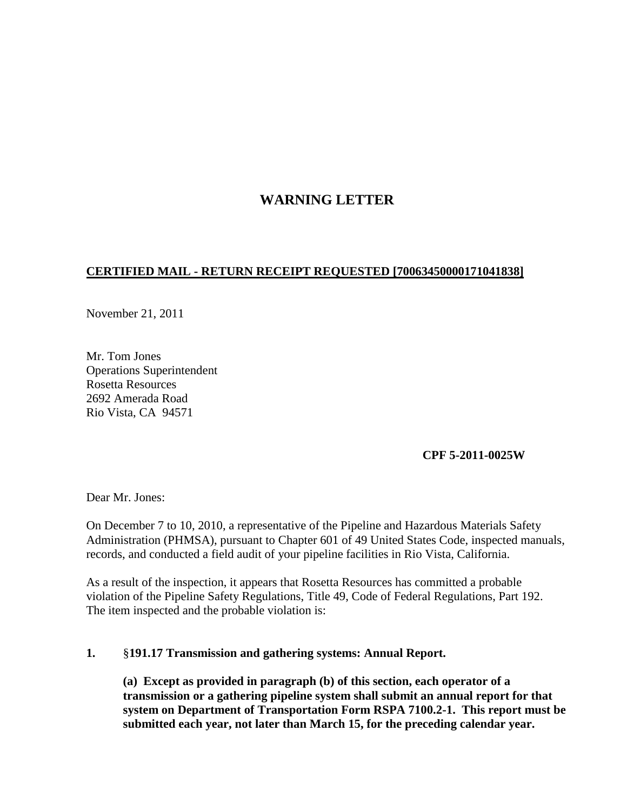## **WARNING LETTER**

## **CERTIFIED MAIL - RETURN RECEIPT REQUESTED [70063450000171041838]**

November 21, 2011

Mr. Tom Jones Operations Superintendent Rosetta Resources 2692 Amerada Road Rio Vista, CA 94571

## **CPF 5-2011-0025W**

Dear Mr. Jones:

On December 7 to 10, 2010, a representative of the Pipeline and Hazardous Materials Safety Administration (PHMSA), pursuant to Chapter 601 of 49 United States Code, inspected manuals, records, and conducted a field audit of your pipeline facilities in Rio Vista, California.

As a result of the inspection, it appears that Rosetta Resources has committed a probable violation of the Pipeline Safety Regulations, Title 49, Code of Federal Regulations, Part 192. The item inspected and the probable violation is:

## **1.** §**191.17 Transmission and gathering systems: Annual Report.**

**(a) Except as provided in paragraph (b) of this section, each operator of a transmission or a gathering pipeline system shall submit an annual report for that system on Department of Transportation Form RSPA 7100.2-1. This report must be submitted each year, not later than March 15, for the preceding calendar year.**